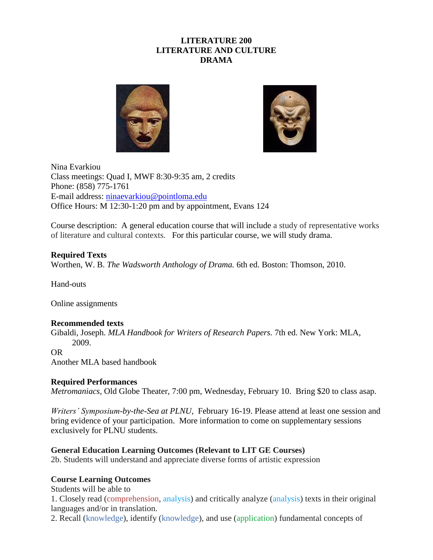# **LITERATURE 200 LITERATURE AND CULTURE DRAMA**





Nina Evarkiou Class meetings: Quad I, MWF 8:30-9:35 am, 2 credits Phone: (858) 775-1761 E-mail address: [ninaevarkiou@pointloma.edu](mailto:nevarkio@pointloma.edu) Office Hours: M 12:30-1:20 pm and by appointment, Evans 124

Course description: A general education course that will include a study of representative works of literature and cultural contexts. For this particular course, we will study drama.

# **Required Texts**

Worthen, W. B. *The Wadsworth Anthology of Drama.* 6th ed. Boston: Thomson, 2010.

Hand-outs

Online assignments

## **Recommended texts**

Gibaldi, Joseph. *MLA Handbook for Writers of Research Papers.* 7th ed. New York: MLA, 2009.

## OR

Another MLA based handbook

## **Required Performances**

*Metromaniacs,* Old Globe Theater, 7:00 pm, Wednesday, February 10. Bring \$20 to class asap.

*Writers' Symposium-by-the-Sea at PLNU,* February 16-19. Please attend at least one session and bring evidence of your participation. More information to come on supplementary sessions exclusively for PLNU students.

## **General Education Learning Outcomes (Relevant to LIT GE Courses)**

2b. Students will understand and appreciate diverse forms of artistic expression

## **Course Learning Outcomes**

Students will be able to

1. Closely read (comprehension, analysis) and critically analyze (analysis) texts in their original languages and/or in translation.

2. Recall (knowledge), identify (knowledge), and use (application) fundamental concepts of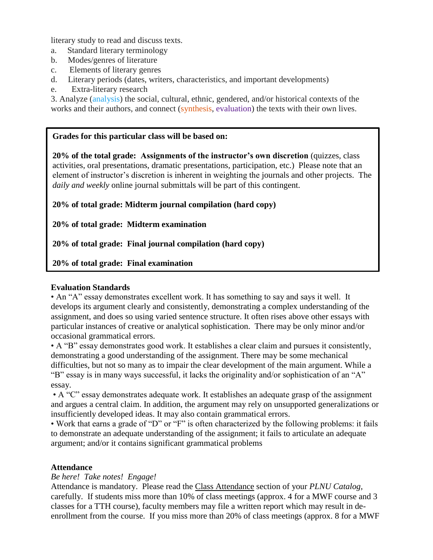literary study to read and discuss texts.

- a. Standard literary terminology
- b. Modes/genres of literature
- c. Elements of literary genres
- d. Literary periods (dates, writers, characteristics, and important developments)
- e. Extra-literary research

3. Analyze (analysis) the social, cultural, ethnic, gendered, and/or historical contexts of the works and their authors, and connect (synthesis, evaluation) the texts with their own lives.

## **Grades for this particular class will be based on:**

**20% of the total grade: Assignments of the instructor's own discretion** (quizzes, class activities, oral presentations, dramatic presentations, participation, etc.) Please note that an element of instructor's discretion is inherent in weighting the journals and other projects. The *daily and weekly* online journal submittals will be part of this contingent.

**20% of total grade: Midterm journal compilation (hard copy)**

**20% of total grade: Midterm examination**

**20% of total grade: Final journal compilation (hard copy)**

# **20% of total grade: Final examination**

## **Evaluation Standards**

• An "A" essay demonstrates excellent work. It has something to say and says it well. It develops its argument clearly and consistently, demonstrating a complex understanding of the assignment, and does so using varied sentence structure. It often rises above other essays with particular instances of creative or analytical sophistication. There may be only minor and/or occasional grammatical errors.

• A "B" essay demonstrates good work. It establishes a clear claim and pursues it consistently, demonstrating a good understanding of the assignment. There may be some mechanical difficulties, but not so many as to impair the clear development of the main argument. While a "B" essay is in many ways successful, it lacks the originality and/or sophistication of an "A" essay.

• A "C" essay demonstrates adequate work. It establishes an adequate grasp of the assignment and argues a central claim. In addition, the argument may rely on unsupported generalizations or insufficiently developed ideas. It may also contain grammatical errors.

• Work that earns a grade of "D" or "F" is often characterized by the following problems: it fails to demonstrate an adequate understanding of the assignment; it fails to articulate an adequate argument; and/or it contains significant grammatical problems

## **Attendance**

# *Be here! Take notes! Engage!*

Attendance is mandatory. Please read the Class Attendance section of your *PLNU Catalog,*  carefully. If students miss more than 10% of class meetings (approx. 4 for a MWF course and 3 classes for a TTH course), faculty members may file a written report which may result in deenrollment from the course. If you miss more than 20% of class meetings (approx. 8 for a MWF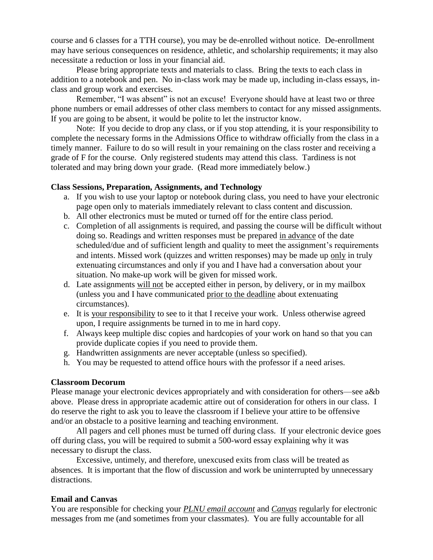course and 6 classes for a TTH course), you may be de-enrolled without notice. De-enrollment may have serious consequences on residence, athletic, and scholarship requirements; it may also necessitate a reduction or loss in your financial aid.

Please bring appropriate texts and materials to class. Bring the texts to each class in addition to a notebook and pen. No in-class work may be made up, including in-class essays, inclass and group work and exercises.

Remember, "I was absent" is not an excuse! Everyone should have at least two or three phone numbers or email addresses of other class members to contact for any missed assignments. If you are going to be absent, it would be polite to let the instructor know.

Note: If you decide to drop any class, or if you stop attending, it is your responsibility to complete the necessary forms in the Admissions Office to withdraw officially from the class in a timely manner. Failure to do so will result in your remaining on the class roster and receiving a grade of F for the course. Only registered students may attend this class. Tardiness is not tolerated and may bring down your grade. (Read more immediately below.)

## **Class Sessions, Preparation, Assignments, and Technology**

- a. If you wish to use your laptop or notebook during class, you need to have your electronic page open only to materials immediately relevant to class content and discussion.
- b. All other electronics must be muted or turned off for the entire class period.
- c. Completion of all assignments is required, and passing the course will be difficult without doing so. Readings and written responses must be prepared in advance of the date scheduled/due and of sufficient length and quality to meet the assignment's requirements and intents. Missed work (quizzes and written responses) may be made up only in truly extenuating circumstances and only if you and I have had a conversation about your situation. No make-up work will be given for missed work.
- d. Late assignments will not be accepted either in person, by delivery, or in my mailbox (unless you and I have communicated prior to the deadline about extenuating circumstances).
- e. It is your responsibility to see to it that I receive your work. Unless otherwise agreed upon, I require assignments be turned in to me in hard copy.
- f. Always keep multiple disc copies and hardcopies of your work on hand so that you can provide duplicate copies if you need to provide them.
- g. Handwritten assignments are never acceptable (unless so specified).
- h. You may be requested to attend office hours with the professor if a need arises.

#### **Classroom Decorum**

Please manage your electronic devices appropriately and with consideration for others—see a&b above. Please dress in appropriate academic attire out of consideration for others in our class. I do reserve the right to ask you to leave the classroom if I believe your attire to be offensive and/or an obstacle to a positive learning and teaching environment.

All pagers and cell phones must be turned off during class. If your electronic device goes off during class, you will be required to submit a 500-word essay explaining why it was necessary to disrupt the class.

Excessive, untimely, and therefore, unexcused exits from class will be treated as absences. It is important that the flow of discussion and work be uninterrupted by unnecessary distractions.

#### **Email and Canvas**

You are responsible for checking your *PLNU email account* and *Canvas* regularly for electronic messages from me (and sometimes from your classmates). You are fully accountable for all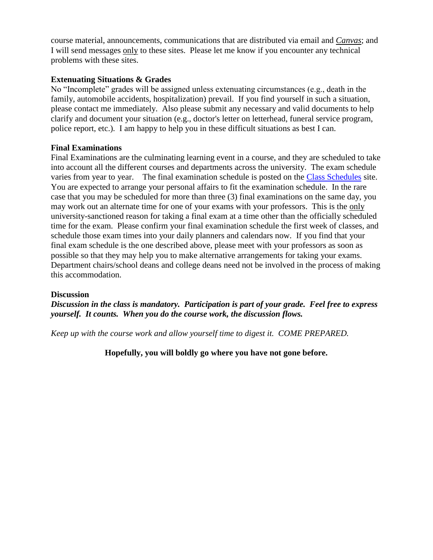course material, announcements, communications that are distributed via email and *Canvas*; and I will send messages only to these sites. Please let me know if you encounter any technical problems with these sites.

# **Extenuating Situations & Grades**

No "Incomplete" grades will be assigned unless extenuating circumstances (e.g., death in the family, automobile accidents, hospitalization) prevail. If you find yourself in such a situation, please contact me immediately. Also please submit any necessary and valid documents to help clarify and document your situation (e.g., doctor's letter on letterhead, funeral service program, police report, etc.). I am happy to help you in these difficult situations as best I can.

## **Final Examinations**

Final Examinations are the culminating learning event in a course, and they are scheduled to take into account all the different courses and departments across the university. The exam schedule varies from year to year. The final examination schedule is posted on the [Class Schedules](http://www.pointloma.edu/experience/academics/class-schedules) site. You are expected to arrange your personal affairs to fit the examination schedule. In the rare case that you may be scheduled for more than three (3) final examinations on the same day, you may work out an alternate time for one of your exams with your professors. This is the only university-sanctioned reason for taking a final exam at a time other than the officially scheduled time for the exam. Please confirm your final examination schedule the first week of classes, and schedule those exam times into your daily planners and calendars now. If you find that your final exam schedule is the one described above, please meet with your professors as soon as possible so that they may help you to make alternative arrangements for taking your exams. Department chairs/school deans and college deans need not be involved in the process of making this accommodation.

## **Discussion**

*Discussion in the class is mandatory. Participation is part of your grade. Feel free to express yourself. It counts. When you do the course work, the discussion flows.*

*Keep up with the course work and allow yourself time to digest it. COME PREPARED.*

**Hopefully, you will boldly go where you have not gone before.**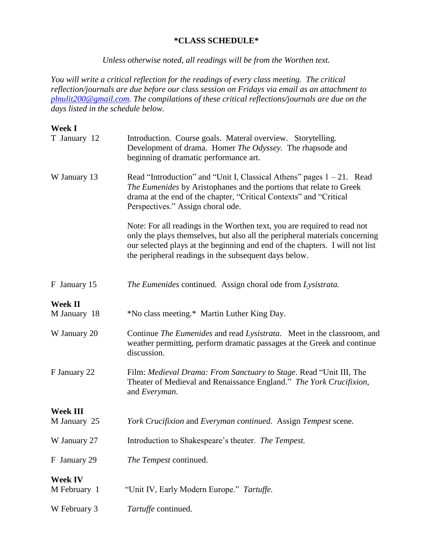#### **\*CLASS SCHEDULE\***

*Unless otherwise noted, all readings will be from the Worthen text.*

*You will write a critical reflection for the readings of every class meeting. The critical reflection/journals are due before our class session on Fridays via email as an attachment to [plnulit200@gmail.com.](mailto:plnulit200@gmail.com) The compilations of these critical reflections/journals are due on the days listed in the schedule below.*

# **Week I**

| T January 12                    | Introduction. Course goals. Materal overview. Storytelling.<br>Development of drama. Homer The Odyssey. The rhapsode and<br>beginning of dramatic performance art.                                                                                                                               |
|---------------------------------|--------------------------------------------------------------------------------------------------------------------------------------------------------------------------------------------------------------------------------------------------------------------------------------------------|
| W January 13                    | Read "Introduction" and "Unit I, Classical Athens" pages $1 - 21$ . Read<br>The Eumenides by Aristophanes and the portions that relate to Greek<br>drama at the end of the chapter, "Critical Contexts" and "Critical<br>Perspectives." Assign choral ode.                                       |
|                                 | Note: For all readings in the Worthen text, you are required to read not<br>only the plays themselves, but also all the peripheral materials concerning<br>our selected plays at the beginning and end of the chapters. I will not list<br>the peripheral readings in the subsequent days below. |
| F January 15                    | The Eumenides continued. Assign choral ode from Lysistrata.                                                                                                                                                                                                                                      |
| <b>Week II</b><br>M January 18  | *No class meeting.* Martin Luther King Day.                                                                                                                                                                                                                                                      |
| W January 20                    | Continue The Eumenides and read Lysistrata. Meet in the classroom, and<br>weather permitting, perform dramatic passages at the Greek and continue<br>discussion.                                                                                                                                 |
| F January 22                    | Film: Medieval Drama: From Sanctuary to Stage. Read "Unit III, The<br>Theater of Medieval and Renaissance England." The York Crucifixion,<br>and Everyman.                                                                                                                                       |
| <b>Week III</b><br>M January 25 | York Crucifixion and Everyman continued. Assign Tempest scene.                                                                                                                                                                                                                                   |
| W January 27                    | Introduction to Shakespeare's theater. The Tempest.                                                                                                                                                                                                                                              |
| F January 29                    | The Tempest continued.                                                                                                                                                                                                                                                                           |
| <b>Week IV</b><br>M February 1  | "Unit IV, Early Modern Europe." Tartuffe.                                                                                                                                                                                                                                                        |
| W February 3                    | Tartuffe continued.                                                                                                                                                                                                                                                                              |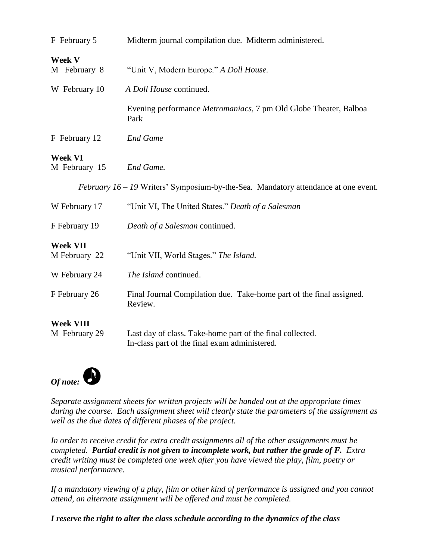| F February 5                      | Midterm journal compilation due. Midterm administered.                                                     |
|-----------------------------------|------------------------------------------------------------------------------------------------------------|
| <b>Week V</b><br>M February 8     | "Unit V, Modern Europe." A Doll House.                                                                     |
| W February 10                     | A Doll House continued.                                                                                    |
|                                   | Evening performance <i>Metromaniacs</i> , 7 pm Old Globe Theater, Balboa<br>Park                           |
| F February 12                     | <b>End Game</b>                                                                                            |
| <b>Week VI</b><br>M February 15   | End Game.                                                                                                  |
|                                   | <i>February</i> $16 - 19$ Writers' Symposium-by-the-Sea. Mandatory attendance at one event.                |
| W February 17                     | "Unit VI, The United States." Death of a Salesman                                                          |
| F February 19                     | Death of a Salesman continued.                                                                             |
| <b>Week VII</b><br>M February 22  | "Unit VII, World Stages." The Island.                                                                      |
| W February 24                     | The Island continued.                                                                                      |
| F February 26                     | Final Journal Compilation due. Take-home part of the final assigned.<br>Review.                            |
| <b>Week VIII</b><br>M February 29 | Last day of class. Take-home part of the final collected.<br>In-class part of the final exam administered. |



*Separate assignment sheets for written projects will be handed out at the appropriate times during the course. Each assignment sheet will clearly state the parameters of the assignment as well as the due dates of different phases of the project.*

*In order to receive credit for extra credit assignments all of the other assignments must be completed. Partial credit is not given to incomplete work, but rather the grade of F. Extra credit writing must be completed one week after you have viewed the play, film, poetry or musical performance.*

*If a mandatory viewing of a play, film or other kind of performance is assigned and you cannot attend, an alternate assignment will be offered and must be completed.*

*I reserve the right to alter the class schedule according to the dynamics of the class*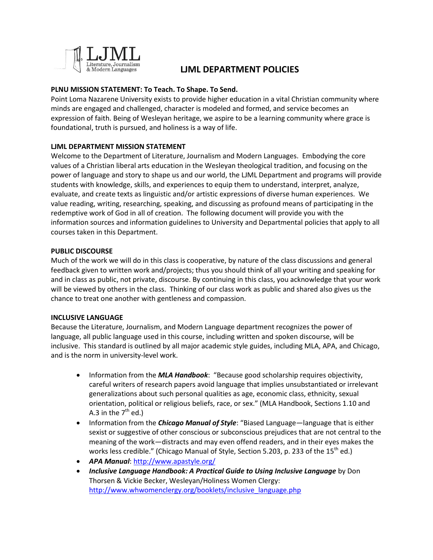

# **LJML DEPARTMENT POLICIES**

## **PLNU MISSION STATEMENT: To Teach. To Shape. To Send.**

Point Loma Nazarene University exists to provide higher education in a vital Christian community where minds are engaged and challenged, character is modeled and formed, and service becomes an expression of faith. Being of Wesleyan heritage, we aspire to be a learning community where grace is foundational, truth is pursued, and holiness is a way of life.

## **LJML DEPARTMENT MISSION STATEMENT**

Welcome to the Department of Literature, Journalism and Modern Languages. Embodying the core values of a Christian liberal arts education in the Wesleyan theological tradition, and focusing on the power of language and story to shape us and our world, the LJML Department and programs will provide students with knowledge, skills, and experiences to equip them to understand, interpret, analyze, evaluate, and create texts as linguistic and/or artistic expressions of diverse human experiences. We value reading, writing, researching, speaking, and discussing as profound means of participating in the redemptive work of God in all of creation. The following document will provide you with the information sources and information guidelines to University and Departmental policies that apply to all courses taken in this Department.

## **PUBLIC DISCOURSE**

Much of the work we will do in this class is cooperative, by nature of the class discussions and general feedback given to written work and/projects; thus you should think of all your writing and speaking for and in class as public, not private, discourse. By continuing in this class, you acknowledge that your work will be viewed by others in the class. Thinking of our class work as public and shared also gives us the chance to treat one another with gentleness and compassion.

## **INCLUSIVE LANGUAGE**

Because the Literature, Journalism, and Modern Language department recognizes the power of language, all public language used in this course, including written and spoken discourse, will be inclusive. This standard is outlined by all major academic style guides, including MLA, APA, and Chicago, and is the norm in university-level work.

- Information from the *MLA Handbook*: "Because good scholarship requires objectivity, careful writers of research papers avoid language that implies unsubstantiated or irrelevant generalizations about such personal qualities as age, economic class, ethnicity, sexual orientation, political or religious beliefs, race, or sex." (MLA Handbook, Sections 1.10 and A.3 in the  $7<sup>th</sup>$  ed.)
- **•** Information from the *Chicago Manual of Style*: "Biased Language—language that is either sexist or suggestive of other conscious or subconscious prejudices that are not central to the meaning of the work—distracts and may even offend readers, and in their eyes makes the works less credible." (Chicago Manual of Style, Section 5.203, p. 233 of the 15<sup>th</sup> ed.)
- *APA Manual*[: http://www.apastyle.org/](http://www.apastyle.org/)
- *Inclusive Language Handbook: A Practical Guide to Using Inclusive Language* by Don Thorsen & Vickie Becker, Wesleyan/Holiness Women Clergy: [http://www.whwomenclergy.org/booklets/inclusive\\_language.php](http://www.whwomenclergy.org/booklets/inclusive_language.php)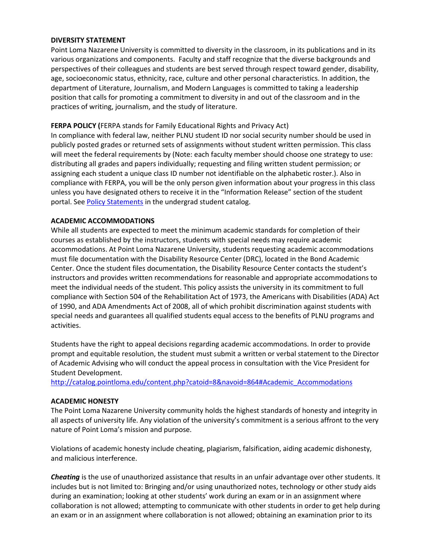#### **DIVERSITY STATEMENT**

Point Loma Nazarene University is committed to diversity in the classroom, in its publications and in its various organizations and components. Faculty and staff recognize that the diverse backgrounds and perspectives of their colleagues and students are best served through respect toward gender, disability, age, socioeconomic status, ethnicity, race, culture and other personal characteristics. In addition, the department of Literature, Journalism, and Modern Languages is committed to taking a leadership position that calls for promoting a commitment to diversity in and out of the classroom and in the practices of writing, journalism, and the study of literature.

#### **FERPA POLICY (**FERPA stands for Family Educational Rights and Privacy Act)

In compliance with federal law, neither PLNU student ID nor social security number should be used in publicly posted grades or returned sets of assignments without student written permission. This class will meet the federal requirements by (Note: each faculty member should choose one strategy to use: distributing all grades and papers individually; requesting and filing written student permission; or assigning each student a unique class ID number not identifiable on the alphabetic roster.). Also in compliance with FERPA, you will be the only person given information about your progress in this class unless you have designated others to receive it in the "Information Release" section of the student portal. Se[e Policy Statements](http://catalog.pointloma.edu/content.php?catoid=8&navoid=864) in the undergrad student catalog.

#### **ACADEMIC ACCOMMODATIONS**

While all students are expected to meet the minimum academic standards for completion of their courses as established by the instructors, students with special needs may require academic accommodations. At Point Loma Nazarene University, students requesting academic accommodations must file documentation with the Disability Resource Center (DRC), located in the Bond Academic Center. Once the student files documentation, the Disability Resource Center contacts the student's instructors and provides written recommendations for reasonable and appropriate accommodations to meet the individual needs of the student. This policy assists the university in its commitment to full compliance with Section 504 of the Rehabilitation Act of 1973, the Americans with Disabilities (ADA) Act of 1990, and ADA Amendments Act of 2008, all of which prohibit discrimination against students with special needs and guarantees all qualified students equal access to the benefits of PLNU programs and activities.

Students have the right to appeal decisions regarding academic accommodations. In order to provide prompt and equitable resolution, the student must submit a written or verbal statement to the Director of Academic Advising who will conduct the appeal process in consultation with the Vice President for Student Development.

[http://catalog.pointloma.edu/content.php?catoid=8&navoid=864#Academic\\_Accommodations](http://catalog.pointloma.edu/content.php?catoid=8&navoid=864#Academic_Accommodations)

#### **ACADEMIC HONESTY**

The Point Loma Nazarene University community holds the highest standards of honesty and integrity in all aspects of university life. Any violation of the university's commitment is a serious affront to the very nature of Point Loma's mission and purpose.

Violations of academic honesty include cheating, plagiarism, falsification, aiding academic dishonesty, and malicious interference.

*Cheating* is the use of unauthorized assistance that results in an unfair advantage over other students. It includes but is not limited to: Bringing and/or using unauthorized notes, technology or other study aids during an examination; looking at other students' work during an exam or in an assignment where collaboration is not allowed; attempting to communicate with other students in order to get help during an exam or in an assignment where collaboration is not allowed; obtaining an examination prior to its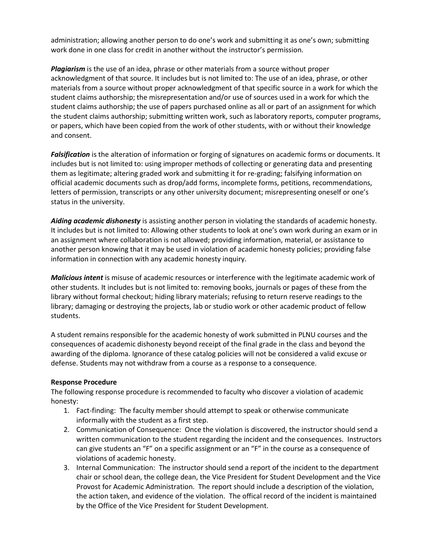administration; allowing another person to do one's work and submitting it as one's own; submitting work done in one class for credit in another without the instructor's permission.

*Plagiarism* is the use of an idea, phrase or other materials from a source without proper acknowledgment of that source. It includes but is not limited to: The use of an idea, phrase, or other materials from a source without proper acknowledgment of that specific source in a work for which the student claims authorship; the misrepresentation and/or use of sources used in a work for which the student claims authorship; the use of papers purchased online as all or part of an assignment for which the student claims authorship; submitting written work, such as laboratory reports, computer programs, or papers, which have been copied from the work of other students, with or without their knowledge and consent.

*Falsification* is the alteration of information or forging of signatures on academic forms or documents. It includes but is not limited to: using improper methods of collecting or generating data and presenting them as legitimate; altering graded work and submitting it for re-grading; falsifying information on official academic documents such as drop/add forms, incomplete forms, petitions, recommendations, letters of permission, transcripts or any other university document; misrepresenting oneself or one's status in the university.

*Aiding academic dishonesty* is assisting another person in violating the standards of academic honesty. It includes but is not limited to: Allowing other students to look at one's own work during an exam or in an assignment where collaboration is not allowed; providing information, material, or assistance to another person knowing that it may be used in violation of academic honesty policies; providing false information in connection with any academic honesty inquiry.

*Malicious intent* is misuse of academic resources or interference with the legitimate academic work of other students. It includes but is not limited to: removing books, journals or pages of these from the library without formal checkout; hiding library materials; refusing to return reserve readings to the library; damaging or destroying the projects, lab or studio work or other academic product of fellow students.

A student remains responsible for the academic honesty of work submitted in PLNU courses and the consequences of academic dishonesty beyond receipt of the final grade in the class and beyond the awarding of the diploma. Ignorance of these catalog policies will not be considered a valid excuse or defense. Students may not withdraw from a course as a response to a consequence.

#### **Response Procedure**

The following response procedure is recommended to faculty who discover a violation of academic honesty:

- 1. Fact-finding: The faculty member should attempt to speak or otherwise communicate informally with the student as a first step.
- 2. Communication of Consequence: Once the violation is discovered, the instructor should send a written communication to the student regarding the incident and the consequences. Instructors can give students an "F" on a specific assignment or an "F" in the course as a consequence of violations of academic honesty.
- 3. Internal Communication: The instructor should send a report of the incident to the department chair or school dean, the college dean, the Vice President for Student Development and the Vice Provost for Academic Administration. The report should include a description of the violation, the action taken, and evidence of the violation. The offical record of the incident is maintained by the Office of the Vice President for Student Development.